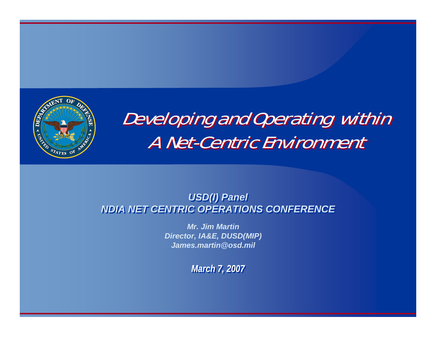

# Developing and Operating within Developing and Operating within A Net-Centric Environment A Net-Centric Environment

#### *USD(I) Panel USD(I) Panel NDIA NET CENTRIC OPERATIONS CONFERENCENDIA NET CENTRIC OPERATIONS CONFERENCE*

*Mr. Jim MartinDirector, IA&E, DUSD(MIP) James.martin@osd.mil*

*March 7, 2007 March 7, 2007*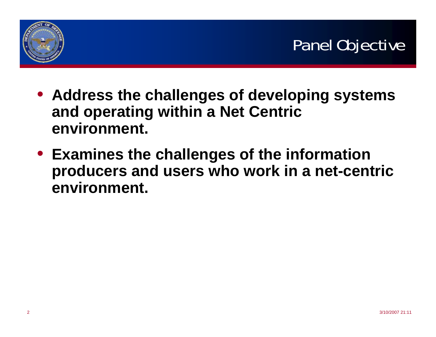

- **Address the challenges of developing systems and operating within a Net Centric environment.**
- **Examines the challenges of the information producers and users who work in a net-centric environment.**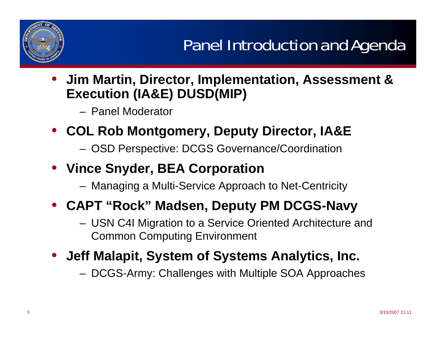

• **Jim Martin, Director, Implementation, Assessment & Execution (IA&E) DUSD(MIP)**

– Panel Moderator

- **COL Rob Montgomery, Deputy Director, IA&E**
	- –OSD Perspective: DCGS Governance/Coordination
- **Vince Snyder, BEA Corporation**
	- –Managing a Multi-Service Approach to Net-Centricity

### • **CAPT "Rock" Madsen, Deputy PM DCGS-Navy**

- – USN C4I Migration to a Service Oriented Architecture and Common Computing Environment
- **Jeff Malapit, System of Systems Analytics, Inc.**
	- –DCGS-Army: Challenges with Multiple SOA Approaches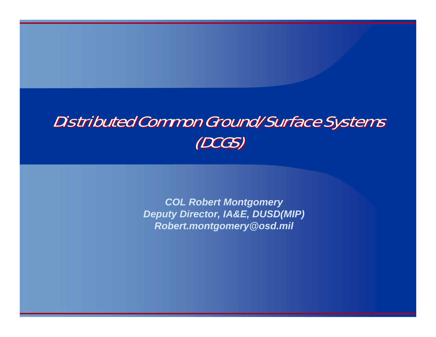### Distributed Common Ground/Surface Systems Distributed Common Ground/Surface Systems (DCGS) (DCGS)

*COL Robert Montgomery Deputy Director, IA&E, DUSD(MIP) Robert.montgomery@osd.mil*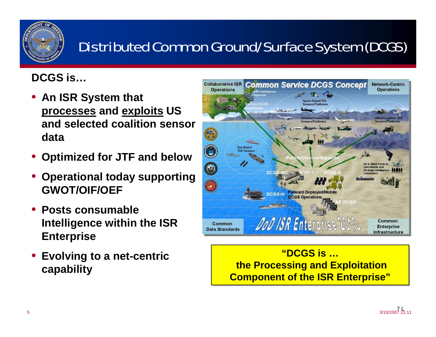

### Distributed Common Ground/Surface System (DCGS)

#### **DCGS is…**

- **An ISR System that processes and exploits US and selected coalition sensor data**
- •**Optimized for JTF and below**
- • **Operational today supporting GWOT/OIF/OEF**
- • **Posts consumable Intelligence within the ISR Enterprise**
- **Evolving to a net-centric capability**



#### **"DCGS is …"DCGS is …the Processing and Exploitation the Processing and Exploitation Component of the ISR Enterprise" Component of the ISR Enterprise"**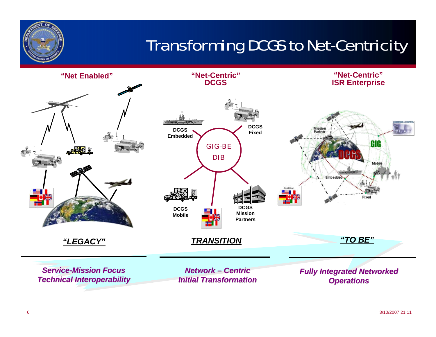

# Transforming DCGS to Net-Centricity

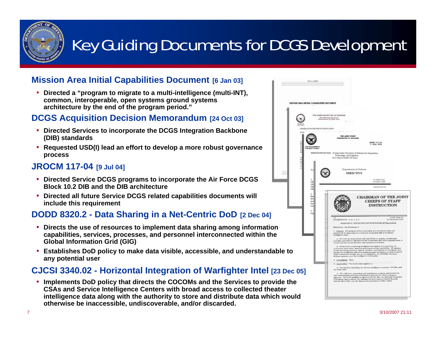

# Key Guiding Documents for DCGS Development

#### **Mission Area Initial Capabilities Document [6 Jan 03]**

• **Directed a "program to migrate to a multi-intelligence (multi-INT), common, interoperable, open systems ground systems architecture by the end of the program period."**

#### **DCGS Acquisition Decision Memorandum [24 Oct 03]**

- **Directed Services to incorporate the DCGS Integration Backbone (DIB) standards**
- **Requested USD(I) lead an effort to develop a more robust governance process**

#### **JROCM 117-04 [9 Jul 04]**

- **Directed Service DCGS programs to incorporate the Air Force DCGS Block 10.2 DIB and the DIB architecture**
- **Directed all future Service DCGS related capabilities documents will include this requirement**

#### **DODD 8320.2 - Data Sharing in a Net-Centric DoD [2 Dec 04]**

- • **Directs the use of resources to implement data sharing among information capabilities, services, processes, and personnel interconnected within the Global Information Grid (GIG)**
- **Establishes DoD policy to make data visible, accessible, and understandable to any potential user**

#### **CJCSI 3340.02 - Horizontal Integration of Warfighter Intel [23 Dec 05]**

• **Implements DoD policy that directs the COCOMs and the Services to provide the CSAs and Service Intelligence Centers with broad access to collected theater intelligence data along with the authority to store and distribute data which would otherwise be inaccessible, undiscoverable, and/or discarded.**

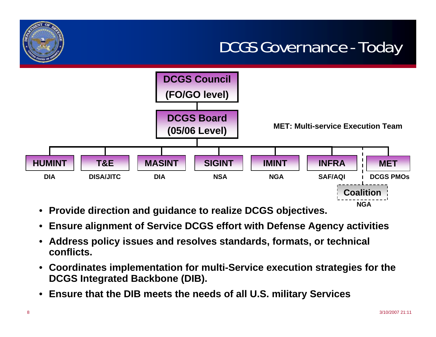### DCGS Governance - Today



- $\bullet$ **Provide direction and guidance to realize DCGS objectives.**
- •**Ensure alignment of Service DCGS effort with Defense Agency activities**
- • **Address policy issues and resolves standards, formats, or technical conflicts.**
- **Coordinates implementation for multi-Service execution strategies for the DCGS Integrated Backbone (DIB).**
- •**Ensure that the DIB meets the needs of all U.S. military Services**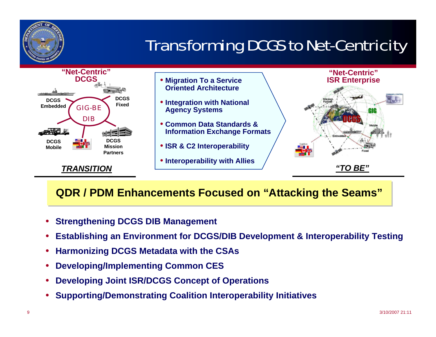

# Transforming DCGS to Net-Centricity



#### **QDR / PDM Enhancements Focused on "Attacking the Seams" QDR / PDM Enhancements Focused on "Attacking the Seams"**

- •**Strengthening DCGS DIB Management**
- •**Establishing an Environment for DCGS/DIB Development & Interoperability Testing**
- •**Harmonizing DCGS Metadata with the CSAs**
- •**Developing/Implementing Common CES**
- •**Developing Joint ISR/DCGS Concept of Operations**
- •**Supporting/Demonstrating Coalition Interoperability Initiatives**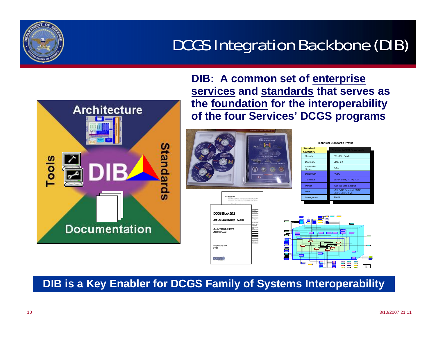### DCGS Integration Backbone (DIB)



**DIB: A common set of enterprise services and standards that serves as the foundation for the interoperability of the four Services' DCGS programs**



**DIB is a Key Enabler for DCGS Family of Systems Interoperability**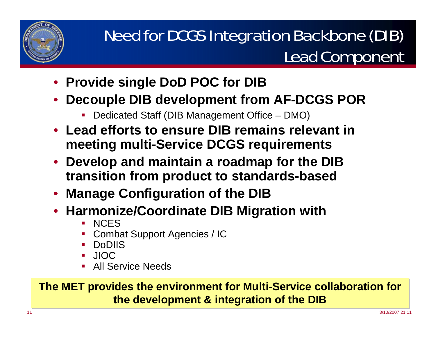

## Need for DCGS Integration Backbone (DIB) Lead Component

- **Provide single DoD POC for DIB**
- • **Decouple DIB development from AF-DCGS POR**
	- П Dedicated Staff (DIB Management Office – DMO)
- **Lead efforts to ensure DIB remains relevant in meeting multi-Service DCGS requirements**
- **Develop and maintain a roadmap for the DIB transition from product to standards-based**
- **Manage Configuration of the DIB**
- **Harmonize/Coordinate DIB Migration with**
	- П **NCES**
	- П Combat Support Agencies / IC
	- П DoDIIS
	- П JIOC
	- П **All Service Needs**

#### **The MET provides the environment for Multi-Service collaboration for The MET provides the environment for Multi-Service collaboration for the development & integration of the DIB the development & integration of the DIB**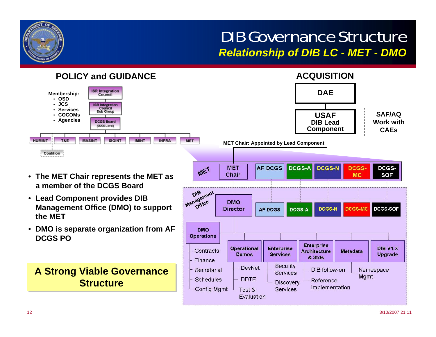### DIB Governance Structure*Relationship of DIB LC - MET - DMO*

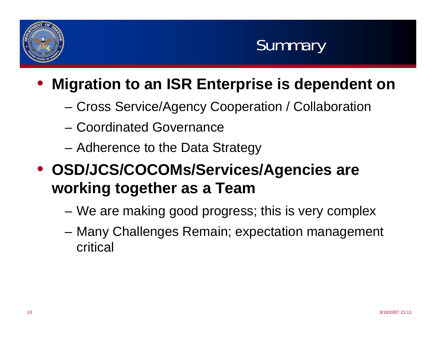



#### $\bullet$ **Migration to an ISR Enterprise is dependent on**

- –Cross Service/Agency Cooperation / Collaboration
- Coordinated Governance
- **Links of the Common** Adherence to the Data Strategy
- **OSD/JCS/COCOMs/Services/Agencies are working together as a Team**
	- **Links of the Common** We are making good progress; this is very complex
	- – Many Challenges Remain; expectation management critical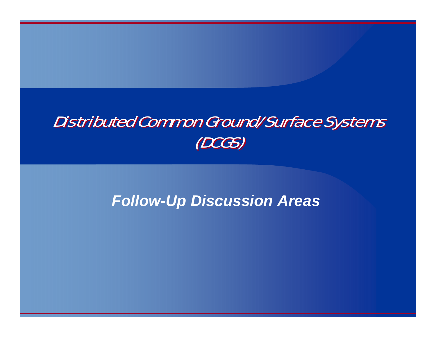### Distributed Common Ground/Surface Systems Distributed Common Ground/Surface Systems (DCGS) (DCGS)

### *Follow-Up Discussion Areas*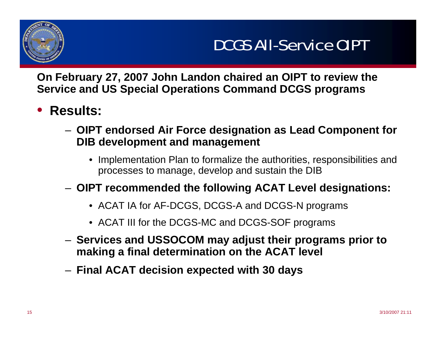

**On February 27, 2007 John Landon chaired an OIPT to review the Service and US Special Operations Command DCGS programs**

- • **Results:**
	- **OIPT endorsed Air Force designation as Lead Component for DIB development and management**
		- Implementation Plan to formalize the authorities, responsibilities and processes to manage, develop and sustain the DIB
	- **OIPT recommended the following ACAT Level designations:** 
		- ACAT IA for AF-DCGS, DCGS-A and DCGS-N programs
		- ACAT III for the DCGS-MC and DCGS-SOF programs
	- **Services and USSOCOM may adjust their programs prior to making a final determination on the ACAT level**
	- **Final ACAT decision expected with 30 days**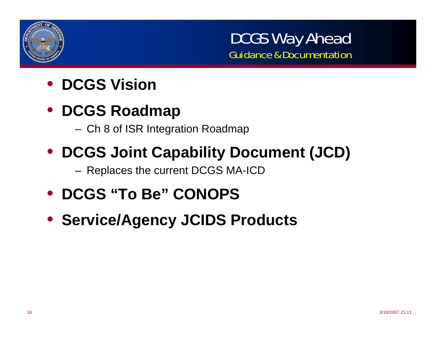

DCGS Way Ahead Guidance & Documentation

- **DCGS Vision**
- **DCGS Roadmap** 
	- Ch 8 of ISR Integration Roadmap
- **DCGS Joint Capability Document (JCD)**

Replaces the current DCGS MA-ICD

- **DCGS "To Be" CONOPS**
- **Service/Agency JCIDS Products**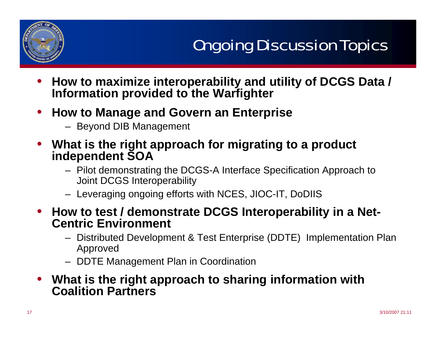

- • **How to maximize interoperability and utility of DCGS Data / Information provided to the Warfighter**
- • **How to Manage and Govern an Enterprise**
	- Beyond DIB Management
- **What is the right approach for migrating to a product independent SOA**
	- Pilot demonstrating the DCGS-A Interface Specification Approach to Joint DCGS Interoperability
	- Leveraging ongoing efforts with NCES, JIOC-IT, DoDIIS
- **How to test / demonstrate DCGS Interoperability in a Net-Centric Environment**
	- Distributed Development & Test Enterprise (DDTE) Implementation Plan Approved
	- DDTE Management Plan in Coordination
- **What is the right approach to sharing information with Coalition Partners**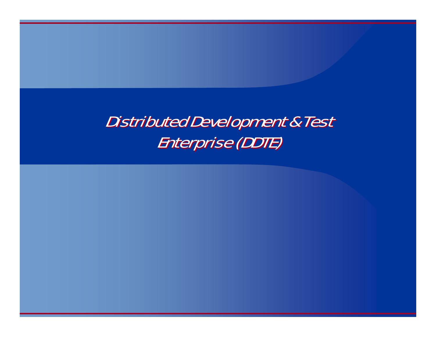### Distributed Development & Test Distributed Development & Test Enterprise (DDTE) Enterprise (DDTE)

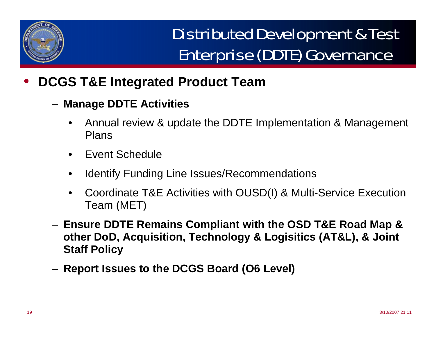

# Distributed Development & Test Enterprise (DDTE) Governance

- • **DCGS T&E Integrated Product Team**
	- **Manage DDTE Activities**
		- • Annual review & update the DDTE Implementation & Management Plans
		- •Event Schedule
		- •Identify Funding Line Issues/Recommendations
		- • Coordinate T&E Activities with OUSD(I) & Multi-Service Execution Team (MET)
	- **Ensure DDTE Remains Compliant with the OSD T&E Road Map & other DoD, Acquisition, Technology & Logisitics (AT&L), & Joint Staff Policy**
	- **Report Issues to the DCGS Board (O6 Level)**